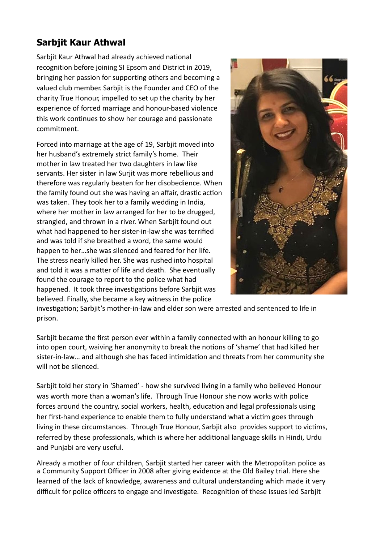## **Sarbjit Kaur Athwal**

 Sarbjit Kaur Athwal had already achieved national recognition before joining SI Epsom and District in 2019, bringing her passion for supporting others and becoming a valued club member. Sarbjit is the Founder and CEO of the charity True Honour, impelled to set up the charity by her experience of forced marriage and honour-based violence this work continues to show her courage and passionate commitment.

Forced into marriage at the age of 19, Sarbjit moved into her husband's extremely strict family's home. Their mother in law treated her two daughters in law like servants. Her sister in law Surjit was more rebellious and therefore was regularly beaten for her disobedience. When the family found out she was having an affair, drastic action was taken. They took her to a family wedding in India, where her mother in law arranged for her to be drugged, strangled, and thrown in a river. When Sarbjit found out what had happened to her sister-in-law she was terrified and was told if she breathed a word, the same would happen to her…she was silenced and feared for her life. The stress nearly killed her. She was rushed into hospital and told it was a matter of life and death. She eventually found the courage to report to the police what had happened. It took three investigations before Sarbjit was believed. Finally, she became a key witness in the police



investigation; Sarbjit's mother-in-law and elder son were arrested and sentenced to life in prison.

Sarbjit became the first person ever within a family connected with an honour killing to go into open court, waiving her anonymity to break the notions of 'shame' that had killed her sister-in-law... and although she has faced intimidation and threats from her community she will not be silenced.

Sarbjit told her story in 'Shamed' - how she survived living in a family who believed Honour was worth more than a woman's life. Through True Honour she now works with police forces around the country, social workers, health, education and legal professionals using her first-hand experience to enable them to fully understand what a victim goes through living in these circumstances. Through True Honour, Sarbjit also provides support to victims, referred by these professionals, which is where her additional language skills in Hindi, Urdu and Punjabi are very useful.

 Already a mother of four children, Sarbjit started her career with the Metropolitan police as a Community Support Officer in 2008 after giving evidence at the Old Bailey trial. Here she learned of the lack of knowledge, awareness and cultural understanding which made it very difficult for police officers to engage and investigate. Recognition of these issues led Sarbjit